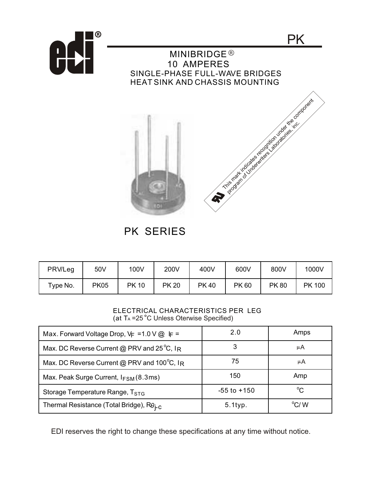

PK SERIES

| PRV/Leg  | 50V         | 100V        | 200V         | 400V        | 600V        | 800V        | 1000V         |
|----------|-------------|-------------|--------------|-------------|-------------|-------------|---------------|
| Type No. | <b>PK05</b> | <b>PK10</b> | <b>PK 20</b> | <b>PK40</b> | <b>PK60</b> | <b>PK80</b> | <b>PK 100</b> |

## ELECTRICAL CHARACTERISTICS PER LEG (at  $T_A = 25^\circ C$  Unless Oterwise Specified)

| Max. Forward Voltage Drop, $V_F = 1.0 V @ F =$            | 2.0             | Amps           |
|-----------------------------------------------------------|-----------------|----------------|
| Max. DC Reverse Current @ PRV and 25 $^{\circ}$ C, IR     |                 | μA             |
| Max. DC Reverse Current @ PRV and $100^{\circ}$ C, IR     | 75              | μA             |
| Max. Peak Surge Current, $I_{FSM}(8.3 \text{ms})$         | 150             | Amp            |
| Storage Temperature Range, T <sub>STG</sub>               | $-55$ to $+150$ | $^{\circ}$ C   |
| Thermal Resistance (Total Bridge), $R\theta_{\text{I-C}}$ | $5.1$ typ.      | $\rm ^{o}$ C/W |

EDI reserves the right to change these specifications at any time without notice.